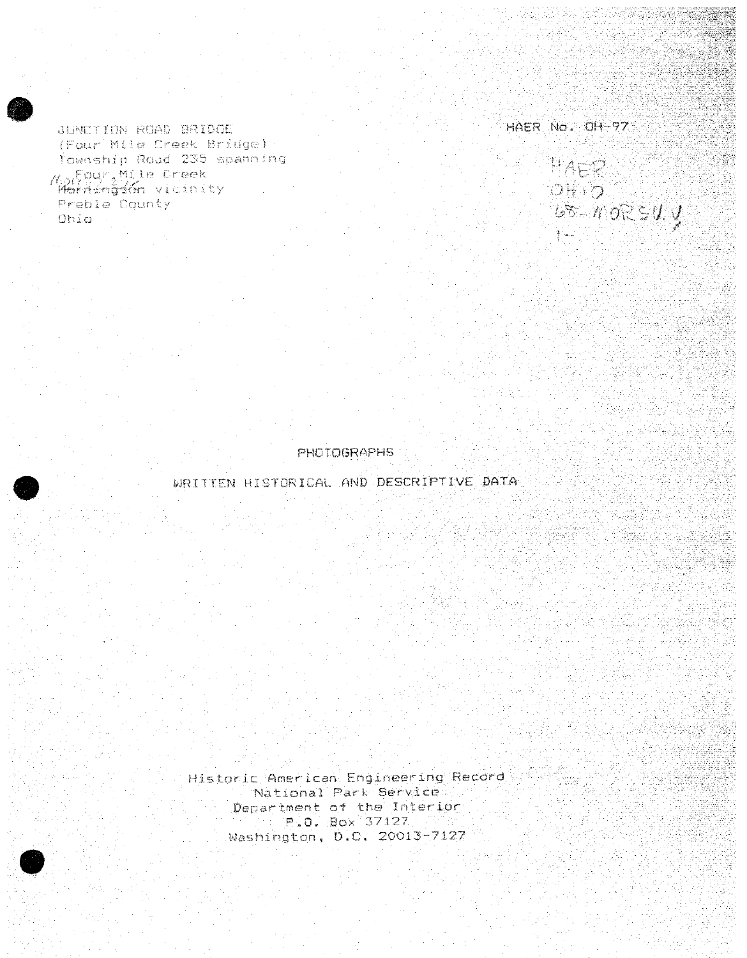JUNCTION ROAD BRIDGE (Four Mile Creek Bridge) : Township Road 235 spanning Montgurallite Creek Mernéngén vicinity Preble County Ohio -

HAER No. OH-97

WAER  $\mathcal{O}\left(\frac{1}{2},\frac{1}{2}\right)$  $\overline{u}$   $\in$   $\overline{u}$   $\overline{v}$ 

**PHOTOGRAPHS** 

WRITTEN HISTORICAL AND DESCRIPTIVE DATA

Historic American Engineering Record National Park Service Department of the Interior P.O. Box 37127 Washington, D.C. 20013-7127